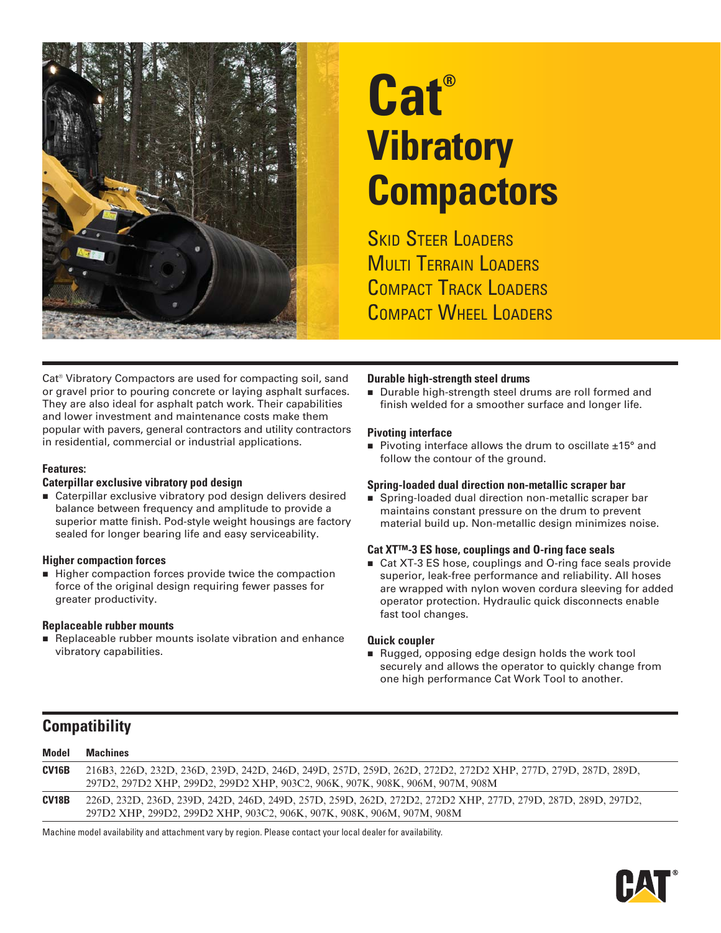

# **Cat® Vibratory Compactors**

**SKID STEER LOADERS MULTI TERRAIN LOADERS** COMPACT TRACK LOADERS COMPACT WHEEL LOADERS

Cat® Vibratory Compactors are used for compacting soil, sand or gravel prior to pouring concrete or laying asphalt surfaces. They are also ideal for asphalt patch work. Their capabilities and lower investment and maintenance costs make them popular with pavers, general contractors and utility contractors in residential, commercial or industrial applications.

#### **Features:**

#### **Caterpillar exclusive vibratory pod design**

 Caterpillar exclusive vibratory pod design delivers desired balance between frequency and amplitude to provide a superior matte finish. Pod-style weight housings are factory sealed for longer bearing life and easy serviceability.

#### **Higher compaction forces**

Higher compaction forces provide twice the compaction force of the original design requiring fewer passes for greater productivity.

#### **Replaceable rubber mounts**

Replaceable rubber mounts isolate vibration and enhance vibratory capabilities.

#### **Durable high-strength steel drums**

Durable high-strength steel drums are roll formed and finish welded for a smoother surface and longer life.

#### **Pivoting interface**

■ Pivoting interface allows the drum to oscillate ±15° and follow the contour of the ground.

#### **Spring-loaded dual direction non-metallic scraper bar**

■ Spring-loaded dual direction non-metallic scraper bar maintains constant pressure on the drum to prevent material build up. Non-metallic design minimizes noise.

#### **Cat XT™-3 ES hose, couplings and O-ring face seals**

■ Cat XT-3 ES hose, couplings and O-ring face seals provide superior, leak-free performance and reliability. All hoses are wrapped with nylon woven cordura sleeving for added operator protection. Hydraulic quick disconnects enable fast tool changes.

#### **Quick coupler**

Rugged, opposing edge design holds the work tool securely and allows the operator to quickly change from one high performance Cat Work Tool to another.

### **Compatibility**

| Model              | <b>Machines</b>                                                                                                                                                                               |
|--------------------|-----------------------------------------------------------------------------------------------------------------------------------------------------------------------------------------------|
| CV <sub>16</sub> B | 216B3, 226D, 232D, 236D, 239D, 242D, 246D, 249D, 257D, 259D, 262D, 272D2, 272D2 XHP, 277D, 279D, 287D, 289D,<br>297D2, 297D2 ХНР, 299D2, 299D2 ХНР, 903C2, 906К, 907К, 908К, 906М, 907М, 908М |
| CV <sub>18</sub> B | 226D, 232D, 236D, 239D, 242D, 246D, 249D, 257D, 259D, 262D, 272D2, 272D2 XHP, 277D, 279D, 287D, 289D, 297D2,<br>297D2 XHP, 299D2, 299D2 XHP, 903C2, 906K, 907K, 908K, 906M, 907M, 908M        |

Machine model availability and attachment vary by region. Please contact your local dealer for availability.

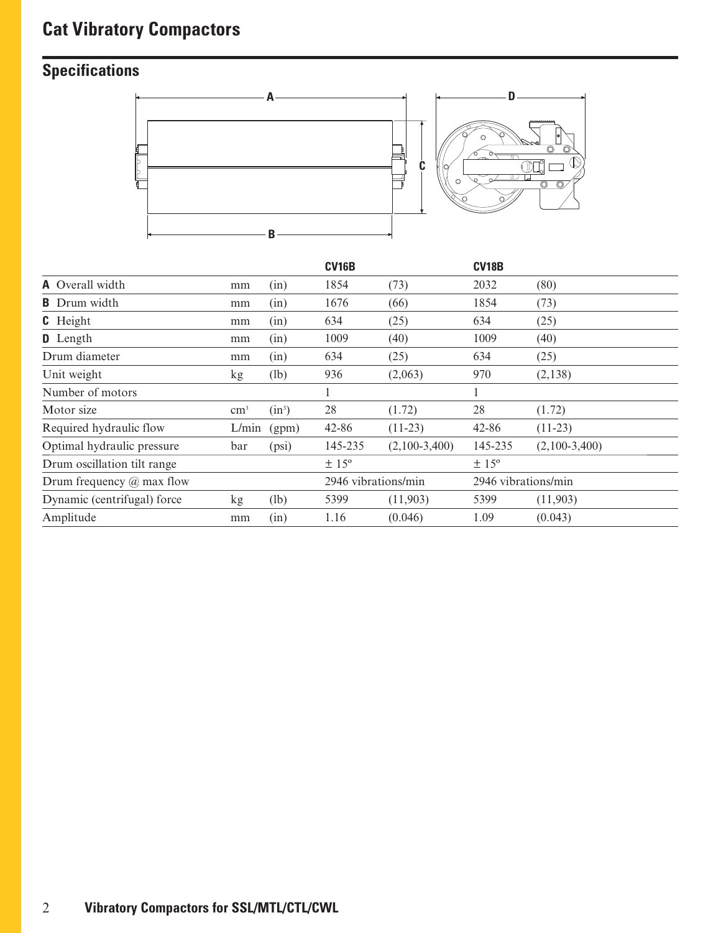# **Cat Vibratory Compactors**

# **Specifications**



|                                   |            |                  | <b>CV16B</b>        |                 | <b>CV18B</b>        |                 |
|-----------------------------------|------------|------------------|---------------------|-----------------|---------------------|-----------------|
| <b>A</b> Overall width            | mm         | (in)             | 1854                | (73)            | 2032                | (80)            |
| <b>B</b> Drum width               | mm         | (in)             | 1676                | (66)            | 1854                | (73)            |
| <b>C</b> Height                   | mm         | (in)             | 634                 | (25)            | 634                 | (25)            |
| <b>D</b> Length                   | mm         | (in)             | 1009                | (40)            | 1009                | (40)            |
| Drum diameter                     | mm         | (in)             | 634                 | (25)            | 634                 | (25)            |
| Unit weight                       | kg         | (lb)             | 936                 | (2,063)         | 970                 | (2,138)         |
| Number of motors                  |            |                  |                     |                 |                     |                 |
| Motor size                        | $\rm cm^3$ | $(in^3)$         | 28                  | (1.72)          | 28                  | (1.72)          |
| Required hydraulic flow           | L/min      | (gpm)            | 42-86               | $(11-23)$       | 42-86               | $(11-23)$       |
| Optimal hydraulic pressure        | bar        | (psi)            | 145-235             | $(2,100-3,400)$ | 145-235             | $(2,100-3,400)$ |
| Drum oscillation tilt range       |            | $\pm 15^{\circ}$ |                     | $± 15^{\circ}$  |                     |                 |
| Drum frequency $\omega$ max flow  |            |                  | 2946 vibrations/min |                 | 2946 vibrations/min |                 |
| Dynamic (centrifugal) force<br>kg |            | (lb)             | 5399                | (11,903)        | 5399                | (11,903)        |
| Amplitude                         | mm         | (in)             | 1.16                | (0.046)         | 1.09                | (0.043)         |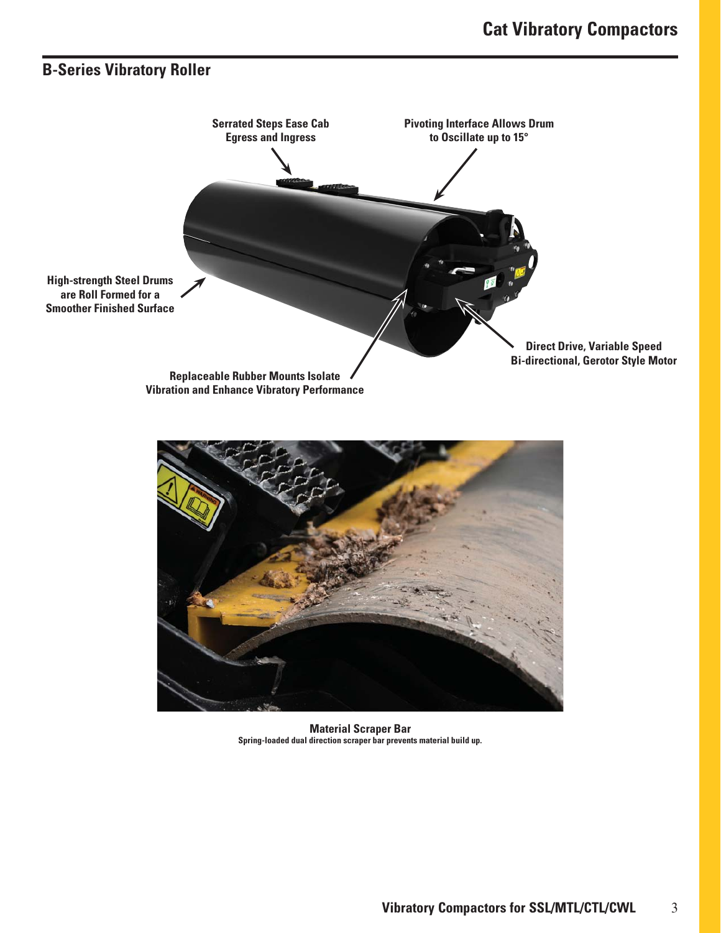## **B-Series Vibratory Roller**



**Material Scraper Bar Spring-loaded dual direction scraper bar prevents material build up.**